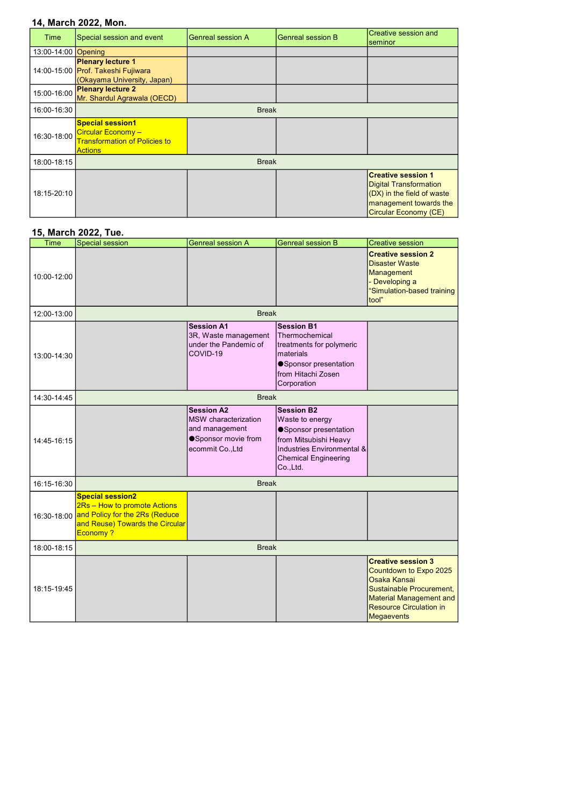## 14, March 2022, Mon.

| Time                | Special session and event                                                                               | <b>Genreal session A</b> | <b>Genreal session B</b> | <b>Creative session and</b><br>seminor                                                                                                      |
|---------------------|---------------------------------------------------------------------------------------------------------|--------------------------|--------------------------|---------------------------------------------------------------------------------------------------------------------------------------------|
| 13:00-14:00 Opening |                                                                                                         |                          |                          |                                                                                                                                             |
|                     | <b>Plenary lecture 1</b><br>14:00-15:00 Prof. Takeshi Fujiwara<br>(Okayama University, Japan)           |                          |                          |                                                                                                                                             |
| 15:00-16:00         | <b>Plenary lecture 2</b><br>Mr. Shardul Agrawala (OECD)                                                 |                          |                          |                                                                                                                                             |
| 16:00-16:30         | <b>Break</b>                                                                                            |                          |                          |                                                                                                                                             |
| 16:30-18:00         | <b>Special session1</b><br>Circular Economy -<br><b>Transformation of Policies to</b><br><b>Actions</b> |                          |                          |                                                                                                                                             |
| 18:00-18:15         | <b>Break</b>                                                                                            |                          |                          |                                                                                                                                             |
| 18:15-20:10         |                                                                                                         |                          |                          | <b>Creative session 1</b><br><b>Digital Transformation</b><br>(DX) in the field of waste<br>management towards the<br>Circular Economy (CE) |

## 15, March 2022, Tue.

| Time        | <b>Special session</b>                                                                                                                               | <b>Genreal session A</b>                                                                                       | <b>Genreal session B</b>                                                                                                                                        | <b>Creative session</b>                                                                                                                                                                  |  |
|-------------|------------------------------------------------------------------------------------------------------------------------------------------------------|----------------------------------------------------------------------------------------------------------------|-----------------------------------------------------------------------------------------------------------------------------------------------------------------|------------------------------------------------------------------------------------------------------------------------------------------------------------------------------------------|--|
| 10:00-12:00 |                                                                                                                                                      |                                                                                                                |                                                                                                                                                                 | <b>Creative session 2</b><br><b>Disaster Waste</b><br>Management<br>- Developing a<br>"Simulation-based training<br>tool"                                                                |  |
| 12:00-13:00 |                                                                                                                                                      | <b>Break</b>                                                                                                   |                                                                                                                                                                 |                                                                                                                                                                                          |  |
| 13:00-14:30 |                                                                                                                                                      | <b>Session A1</b><br>3R, Waste management<br>under the Pandemic of<br>COVID-19                                 | <b>Session B1</b><br>Thermochemical<br>treatments for polymeric<br>materials<br>● Sponsor presentation<br>from Hitachi Zosen<br>Corporation                     |                                                                                                                                                                                          |  |
| 14:30-14:45 | <b>Break</b>                                                                                                                                         |                                                                                                                |                                                                                                                                                                 |                                                                                                                                                                                          |  |
| 14:45-16:15 |                                                                                                                                                      | <b>Session A2</b><br><b>MSW</b> characterization<br>and management<br>● Sponsor movie from<br>ecommit Co., Ltd | <b>Session B2</b><br>Waste to energy<br>Sponsor presentation<br>from Mitsubishi Heavy<br>Industries Environmental &<br><b>Chemical Engineering</b><br>Co., Ltd. |                                                                                                                                                                                          |  |
| 16:15-16:30 | <b>Break</b>                                                                                                                                         |                                                                                                                |                                                                                                                                                                 |                                                                                                                                                                                          |  |
|             | <b>Special session2</b><br>2Rs - How to promote Actions<br>16:30-18:00 and Policy for the 2Rs (Reduce<br>and Reuse) Towards the Circular<br>Economy? |                                                                                                                |                                                                                                                                                                 |                                                                                                                                                                                          |  |
| 18:00-18:15 | <b>Break</b>                                                                                                                                         |                                                                                                                |                                                                                                                                                                 |                                                                                                                                                                                          |  |
| 18:15-19:45 |                                                                                                                                                      |                                                                                                                |                                                                                                                                                                 | <b>Creative session 3</b><br>Countdown to Expo 2025<br>Osaka Kansai<br>Sustainable Procurement,<br><b>Material Management and</b><br><b>Resource Circulation in</b><br><b>Megaevents</b> |  |